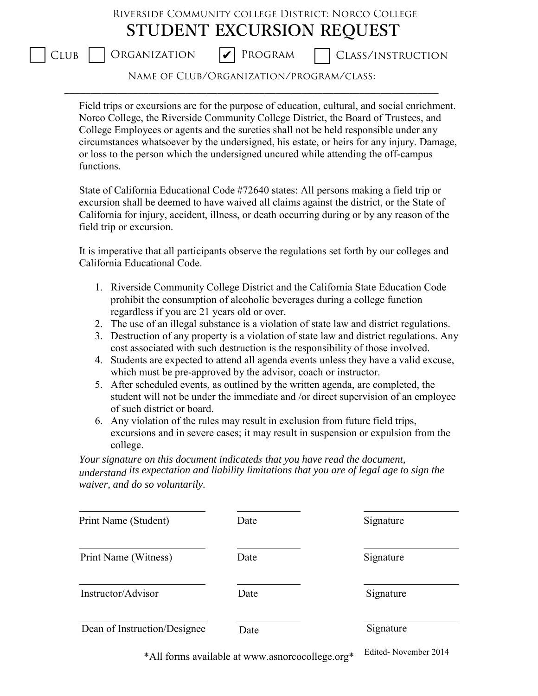## Riverside Community college District: Norco College **STUDENT EXCURSION REQUEST**

**V** PROGRAM

 $\Box$  Organization  $\Box$  Program  $\Box$  Class/instruction

Name of Club/Organization/program/class: \_\_\_\_\_\_\_\_\_\_\_\_\_\_\_\_\_\_\_\_\_\_\_\_\_\_\_\_\_\_\_\_\_\_\_\_\_\_\_\_\_\_\_\_\_\_\_\_\_\_\_\_\_\_\_\_\_\_\_\_\_\_\_\_\_\_\_\_\_\_\_

Field trips or excursions are for the purpose of education, cultural, and social enrichment. Norco College, the Riverside Community College District, the Board of Trustees, and College Employees or agents and the sureties shall not be held responsible under any circumstances whatsoever by the undersigned, his estate, or heirs for any injury. Damage, or loss to the person which the undersigned uncured while attending the off-campus functions.

State of California Educational Code #72640 states: All persons making a field trip or excursion shall be deemed to have waived all claims against the district, or the State of California for injury, accident, illness, or death occurring during or by any reason of the field trip or excursion.

It is imperative that all participants observe the regulations set forth by our colleges and California Educational Code.

- 1. Riverside Community College District and the California State Education Code prohibit the consumption of alcoholic beverages during a college function regardless if you are 21 years old or over.
- 2. The use of an illegal substance is a violation of state law and district regulations.
- 3. Destruction of any property is a violation of state law and district regulations. Any cost associated with such destruction is the responsibility of those involved.
- 4. Students are expected to attend all agenda events unless they have a valid excuse, which must be pre-approved by the advisor, coach or instructor.
- 5. After scheduled events, as outlined by the written agenda, are completed, the student will not be under the immediate and /or direct supervision of an employee of such district or board.
- 6. Any violation of the rules may result in exclusion from future field trips, excursions and in severe cases; it may result in suspension or expulsion from the college.

*Your signature on this document indicateds that you have read the document, understand its expectation and liability limitations that you are of legal age to sign the waiver, and do so voluntarily.* 

| Print Name (Student)         | Date | Signature |
|------------------------------|------|-----------|
| Print Name (Witness)         | Date | Signature |
| Instructor/Advisor           | Date | Signature |
| Dean of Instruction/Designee | Date | Signature |

\*All forms available at www.asnorcocollege.org\* Edited- November 2014